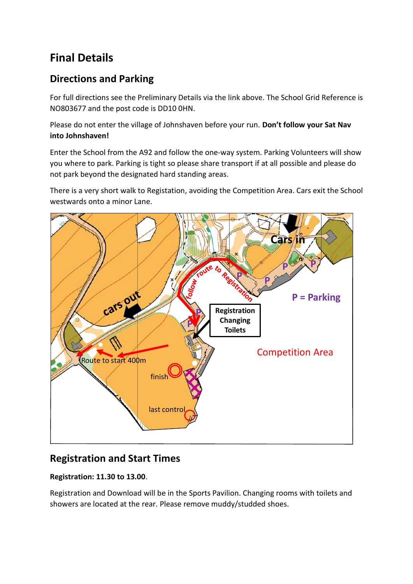# **Final Details**

# **Directions and Parking**

For full directions see the Preliminary Details via the link above. The School Grid Reference is NO803677 and the post code is DD10 0HN.

Please do not enter the village of Johnshaven before your run. **Don't follow your Sat Nav into Johnshaven!**

Enter the School from the A92 and follow the one-way system. Parking Volunteers will show you where to park. Parking is tight so please share transport if at all possible and please do not park beyond the designated hard standing areas.

There is a very short walk to Registation, avoiding the Competition Area. Cars exit the School westwards onto a minor Lane.



## **Registration and Start Times**

#### **Registration: 11.30 to 13.00**.

Registration and Download will be in the Sports Pavilion. Changing rooms with toilets and showers are located at the rear. Please remove muddy/studded shoes.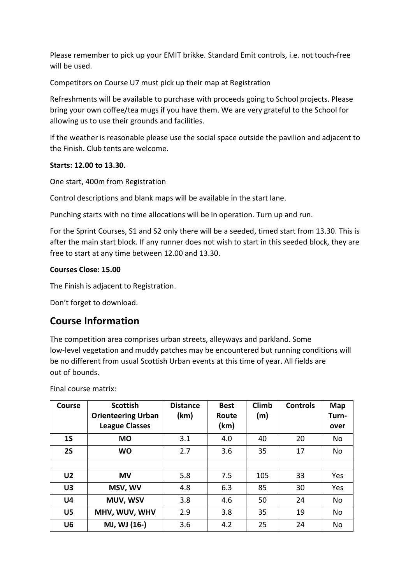Please remember to pick up your EMIT brikke. Standard Emit controls, i.e. not touch-free will be used.

Competitors on Course U7 must pick up their map at Registration

Refreshments will be available to purchase with proceeds going to School projects. Please bring your own coffee/tea mugs if you have them. We are very grateful to the School for allowing us to use their grounds and facilities.

If the weather is reasonable please use the social space outside the pavilion and adjacent to the Finish. Club tents are welcome.

#### **Starts: 12.00 to 13.30.**

One start, 400m from Registration

Control descriptions and blank maps will be available in the start lane.

Punching starts with no time allocations will be in operation. Turn up and run.

For the Sprint Courses, S1 and S2 only there will be a seeded, timed start from 13.30. This is after the main start block. If any runner does not wish to start in this seeded block, they are free to start at any time between 12.00 and 13.30.

#### **Courses Close: 15.00**

The Finish is adjacent to Registration.

Don't forget to download.

### **Course Information**

The competition area comprises urban streets, alleyways and parkland. Some low-level vegetation and muddy patches may be encountered but running conditions will be no different from usual Scottish Urban events at this time of year. All fields are out of bounds.

| <b>Course</b>  | <b>Scottish</b><br><b>Orienteering Urban</b><br><b>League Classes</b> | <b>Distance</b><br>(km) | <b>Best</b><br>Route<br>(km) | <b>Climb</b><br>(m) | <b>Controls</b> | Map<br>Turn-<br>over |
|----------------|-----------------------------------------------------------------------|-------------------------|------------------------------|---------------------|-----------------|----------------------|
| 1 <sub>S</sub> | <b>MO</b>                                                             | 3.1                     | 4.0                          | 40                  | 20              | <b>No</b>            |
| <b>2S</b>      | <b>WO</b>                                                             | 2.7                     | 3.6                          | 35                  | 17              | <b>No</b>            |
|                |                                                                       |                         |                              |                     |                 |                      |
| U <sub>2</sub> | <b>MV</b>                                                             | 5.8                     | 7.5                          | 105                 | 33              | Yes                  |
| U <sub>3</sub> | MSV, WV                                                               | 4.8                     | 6.3                          | 85                  | 30              | Yes                  |
| U <sub>4</sub> | MUV, WSV                                                              | 3.8                     | 4.6                          | 50                  | 24              | <b>No</b>            |
| U <sub>5</sub> | MHV, WUV, WHV                                                         | 2.9                     | 3.8                          | 35                  | 19              | <b>No</b>            |
| U <sub>6</sub> | MJ, WJ (16-)                                                          | 3.6                     | 4.2                          | 25                  | 24              | <b>No</b>            |

Final course matrix: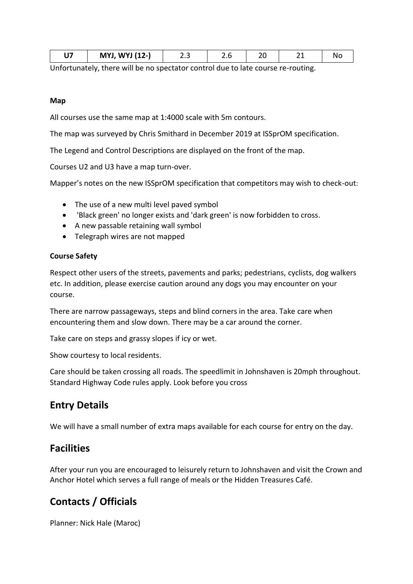|--|

Unfortunately, there will be no spectator control due to late course re-routing.

#### **Map**

All courses use the same map at 1:4000 scale with 5m contours.

The map was surveyed by Chris Smithard in December 2019 at ISSprOM specification.

The Legend and Control Descriptions are displayed on the front of the map.

Courses U2 and U3 have a map turn-over.

Mapper's notes on the new ISSprOM specification that competitors may wish to check-out:

- The use of a new multi level paved symbol
- 'Black green' no longer exists and 'dark green' is now forbidden to cross.
- A new passable retaining wall symbol
- Telegraph wires are not mapped

#### **Course Safety**

Respect other users of the streets, pavements and parks; pedestrians, cyclists, dog walkers etc. In addition, please exercise caution around any dogs you may encounter on your course.

There are narrow passageways, steps and blind corners in the area. Take care when encountering them and slow down. There may be a car around the corner.

Take care on steps and grassy slopes if icy or wet.

Show courtesy to local residents.

Care should be taken crossing all roads. The speedlimit in Johnshaven is 20mph throughout. Standard Highway Code rules apply. Look before you cross

### **Entry Details**

We will have a small number of extra maps available for each course for entry on the day.

### **Facilities**

After your run you are encouraged to leisurely return to Johnshaven and visit the Crown and Anchor Hotel which serves a full range of meals or the Hidden Treasures Café.

### **Contacts / Officials**

Planner: Nick Hale (Maroc)